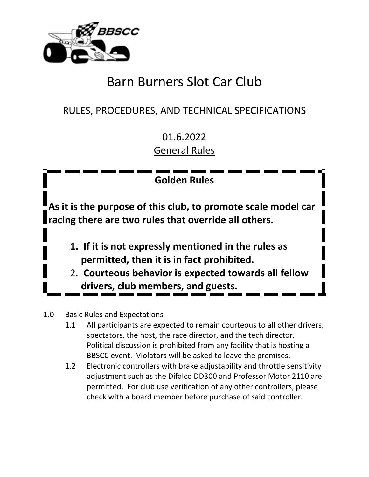

# Barn Burners Slot Car Club

# RULES, PROCEDURES, AND TECHNICAL SPECIFICATIONS

01.6.2022 General Rules

**Golden Rules**

**As it is the purpose of this club, to promote scale model car racing there are two rules that override all others.** 

- **1. If it is not expressly mentioned in the rules as permitted, then it is in fact prohibited.**
- 2. **Courteous behavior is expected towards all fellow drivers, club members, and guests.**
- 1.0 Basic Rules and Expectations
	- 1.1 All participants are expected to remain courteous to all other drivers, spectators, the host, the race director, and the tech director. Political discussion is prohibited from any facility that is hosting a BBSCC event. Violators will be asked to leave the premises.
	- 1.2 Electronic controllers with brake adjustability and throttle sensitivity adjustment such as the Difalco DD300 and Professor Motor 2110 are permitted. For club use verification of any other controllers, please check with a board member before purchase of said controller.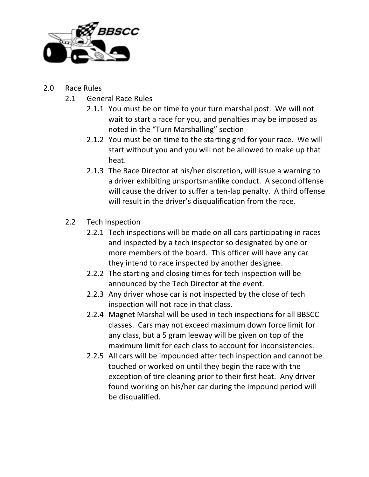

#### 2.0 Race Rules

- 2.1 General Race Rules
	- 2.1.1 You must be on time to your turn marshal post. We will not wait to start a race for you, and penalties may be imposed as noted in the "Turn Marshalling" section
	- 2.1.2 You must be on time to the starting grid for your race. We will start without you and you will not be allowed to make up that heat.
	- 2.1.3 The Race Director at his/her discretion, will issue a warning to a driver exhibiting unsportsmanlike conduct. A second offense will cause the driver to suffer a ten-lap penalty. A third offense will result in the driver's disqualification from the race.

#### 2.2 Tech Inspection

- 2.2.1 Tech inspections will be made on all cars participating in races and inspected by a tech inspector so designated by one or more members of the board. This officer will have any car they intend to race inspected by another designee.
- 2.2.2 The starting and closing times for tech inspection will be announced by the Tech Director at the event.
- 2.2.3 Any driver whose car is not inspected by the close of tech inspection will not race in that class.
- 2.2.4 Magnet Marshal will be used in tech inspections for all BBSCC classes. Cars may not exceed maximum down force limit for any class, but a 5 gram leeway will be given on top of the maximum limit for each class to account for inconsistencies.
- 2.2.5 All cars will be impounded after tech inspection and cannot be touched or worked on until they begin the race with the exception of tire cleaning prior to their first heat. Any driver found working on his/her car during the impound period will be disqualified.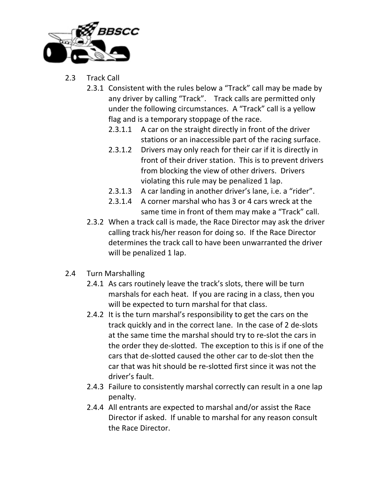

- 2.3 Track Call
	- 2.3.1 Consistent with the rules below a "Track" call may be made by any driver by calling "Track". Track calls are permitted only under the following circumstances. A "Track" call is a yellow flag and is a temporary stoppage of the race.
		- 2.3.1.1 A car on the straight directly in front of the driver stations or an inaccessible part of the racing surface.
		- 2.3.1.2 Drivers may only reach for their car if it is directly in front of their driver station. This is to prevent drivers from blocking the view of other drivers. Drivers violating this rule may be penalized 1 lap.
		- 2.3.1.3 A car landing in another driver's lane, i.e. a "rider".
		- 2.3.1.4 A corner marshal who has 3 or 4 cars wreck at the same time in front of them may make a "Track" call.
	- 2.3.2 When a track call is made, the Race Director may ask the driver calling track his/her reason for doing so. If the Race Director determines the track call to have been unwarranted the driver will be penalized 1 lap.
- 2.4 Turn Marshalling
	- 2.4.1 As cars routinely leave the track's slots, there will be turn marshals for each heat. If you are racing in a class, then you will be expected to turn marshal for that class.
	- 2.4.2 It is the turn marshal's responsibility to get the cars on the track quickly and in the correct lane. In the case of 2 de-slots at the same time the marshal should try to re-slot the cars in the order they de-slotted. The exception to this is if one of the cars that de-slotted caused the other car to de-slot then the car that was hit should be re-slotted first since it was not the driver's fault.
	- 2.4.3 Failure to consistently marshal correctly can result in a one lap penalty.
	- 2.4.4 All entrants are expected to marshal and/or assist the Race Director if asked. If unable to marshal for any reason consult the Race Director.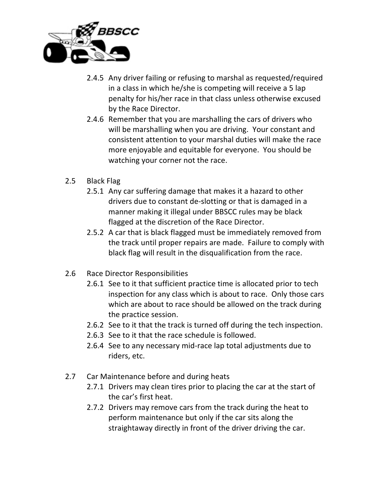

- 2.4.5 Any driver failing or refusing to marshal as requested/required in a class in which he/she is competing will receive a 5 lap penalty for his/her race in that class unless otherwise excused by the Race Director.
- 2.4.6 Remember that you are marshalling the cars of drivers who will be marshalling when you are driving. Your constant and consistent attention to your marshal duties will make the race more enjoyable and equitable for everyone. You should be watching your corner not the race.
- 2.5 Black Flag
	- 2.5.1 Any car suffering damage that makes it a hazard to other drivers due to constant de-slotting or that is damaged in a manner making it illegal under BBSCC rules may be black flagged at the discretion of the Race Director.
	- 2.5.2 A car that is black flagged must be immediately removed from the track until proper repairs are made. Failure to comply with black flag will result in the disqualification from the race.
- 2.6 Race Director Responsibilities
	- 2.6.1 See to it that sufficient practice time is allocated prior to tech inspection for any class which is about to race. Only those cars which are about to race should be allowed on the track during the practice session.
	- 2.6.2 See to it that the track is turned off during the tech inspection.
	- 2.6.3 See to it that the race schedule is followed.
	- 2.6.4 See to any necessary mid-race lap total adjustments due to riders, etc.
- 2.7 Car Maintenance before and during heats
	- 2.7.1 Drivers may clean tires prior to placing the car at the start of the car's first heat.
	- 2.7.2 Drivers may remove cars from the track during the heat to perform maintenance but only if the car sits along the straightaway directly in front of the driver driving the car.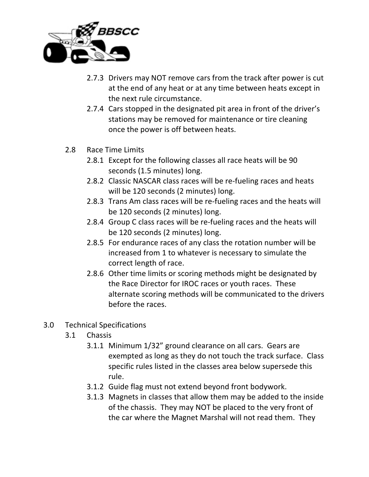

- 2.7.3 Drivers may NOT remove cars from the track after power is cut at the end of any heat or at any time between heats except in the next rule circumstance.
- 2.7.4 Cars stopped in the designated pit area in front of the driver's stations may be removed for maintenance or tire cleaning once the power is off between heats.
- 2.8 Race Time Limits
	- 2.8.1 Except for the following classes all race heats will be 90 seconds (1.5 minutes) long.
	- 2.8.2 Classic NASCAR class races will be re-fueling races and heats will be 120 seconds (2 minutes) long.
	- 2.8.3 Trans Am class races will be re-fueling races and the heats will be 120 seconds (2 minutes) long.
	- 2.8.4 Group C class races will be re-fueling races and the heats will be 120 seconds (2 minutes) long.
	- 2.8.5 For endurance races of any class the rotation number will be increased from 1 to whatever is necessary to simulate the correct length of race.
	- 2.8.6 Other time limits or scoring methods might be designated by the Race Director for IROC races or youth races. These alternate scoring methods will be communicated to the drivers before the races.
- 3.0 Technical Specifications
	- 3.1 Chassis
		- 3.1.1 Minimum 1/32" ground clearance on all cars. Gears are exempted as long as they do not touch the track surface. Class specific rules listed in the classes area below supersede this rule.
		- 3.1.2 Guide flag must not extend beyond front bodywork.
		- 3.1.3 Magnets in classes that allow them may be added to the inside of the chassis. They may NOT be placed to the very front of the car where the Magnet Marshal will not read them. They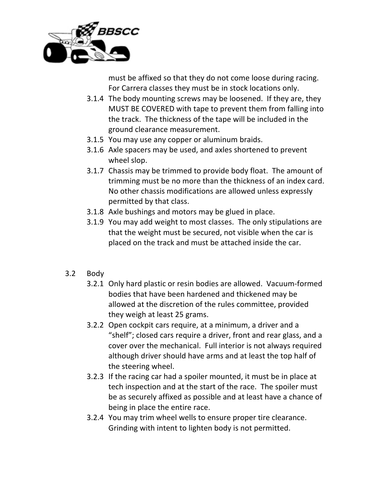

must be affixed so that they do not come loose during racing. For Carrera classes they must be in stock locations only.

- 3.1.4 The body mounting screws may be loosened. If they are, they MUST BE COVERED with tape to prevent them from falling into the track. The thickness of the tape will be included in the ground clearance measurement.
- 3.1.5 You may use any copper or aluminum braids.
- 3.1.6 Axle spacers may be used, and axles shortened to prevent wheel slop.
- 3.1.7 Chassis may be trimmed to provide body float. The amount of trimming must be no more than the thickness of an index card. No other chassis modifications are allowed unless expressly permitted by that class.
- 3.1.8 Axle bushings and motors may be glued in place.
- 3.1.9 You may add weight to most classes. The only stipulations are that the weight must be secured, not visible when the car is placed on the track and must be attached inside the car.
- 3.2 Body
	- 3.2.1 Only hard plastic or resin bodies are allowed. Vacuum-formed bodies that have been hardened and thickened may be allowed at the discretion of the rules committee, provided they weigh at least 25 grams.
	- 3.2.2 Open cockpit cars require, at a minimum, a driver and a "shelf"; closed cars require a driver, front and rear glass, and a cover over the mechanical. Full interior is not always required although driver should have arms and at least the top half of the steering wheel.
	- 3.2.3 If the racing car had a spoiler mounted, it must be in place at tech inspection and at the start of the race. The spoiler must be as securely affixed as possible and at least have a chance of being in place the entire race.
	- 3.2.4 You may trim wheel wells to ensure proper tire clearance. Grinding with intent to lighten body is not permitted.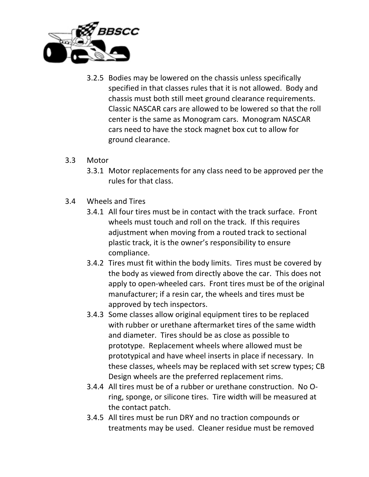

- 3.2.5 Bodies may be lowered on the chassis unless specifically specified in that classes rules that it is not allowed. Body and chassis must both still meet ground clearance requirements. Classic NASCAR cars are allowed to be lowered so that the roll center is the same as Monogram cars. Monogram NASCAR cars need to have the stock magnet box cut to allow for ground clearance.
- 3.3 Motor
	- 3.3.1 Motor replacements for any class need to be approved per the rules for that class.
- 3.4 Wheels and Tires
	- 3.4.1 All four tires must be in contact with the track surface. Front wheels must touch and roll on the track. If this requires adjustment when moving from a routed track to sectional plastic track, it is the owner's responsibility to ensure compliance.
	- 3.4.2 Tires must fit within the body limits. Tires must be covered by the body as viewed from directly above the car. This does not apply to open-wheeled cars. Front tires must be of the original manufacturer; if a resin car, the wheels and tires must be approved by tech inspectors.
	- 3.4.3 Some classes allow original equipment tires to be replaced with rubber or urethane aftermarket tires of the same width and diameter. Tires should be as close as possible to prototype. Replacement wheels where allowed must be prototypical and have wheel inserts in place if necessary. In these classes, wheels may be replaced with set screw types; CB Design wheels are the preferred replacement rims.
	- 3.4.4 All tires must be of a rubber or urethane construction. No Oring, sponge, or silicone tires. Tire width will be measured at the contact patch.
	- 3.4.5 All tires must be run DRY and no traction compounds or treatments may be used. Cleaner residue must be removed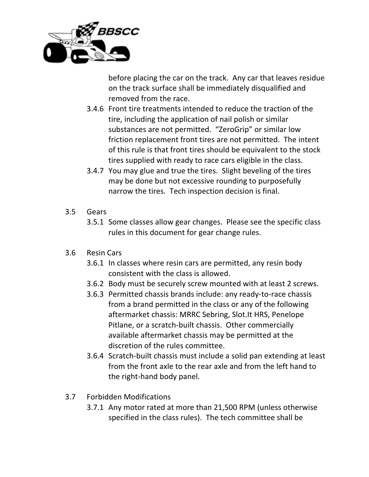

before placing the car on the track. Any car that leaves residue on the track surface shall be immediately disqualified and removed from the race.

- 3.4.6 Front tire treatments intended to reduce the traction of the tire, including the application of nail polish or similar substances are not permitted. "ZeroGrip" or similar low friction replacement front tires are not permitted. The intent of this rule is that front tires should be equivalent to the stock tires supplied with ready to race cars eligible in the class.
- 3.4.7 You may glue and true the tires. Slight beveling of the tires may be done but not excessive rounding to purposefully narrow the tires. Tech inspection decision is final.
- 3.5 Gears
	- 3.5.1 Some classes allow gear changes. Please see the specific class rules in this document for gear change rules.
- 3.6 Resin Cars
	- 3.6.1 In classes where resin cars are permitted, any resin body consistent with the class is allowed.
	- 3.6.2 Body must be securely screw mounted with at least 2 screws.
	- 3.6.3 Permitted chassis brands include: any ready-to-race chassis from a brand permitted in the class or any of the following aftermarket chassis: MRRC Sebring, Slot.It HRS, Penelope Pitlane, or a scratch-built chassis. Other commercially available aftermarket chassis may be permitted at the discretion of the rules committee.
	- 3.6.4 Scratch-built chassis must include a solid pan extending at least from the front axle to the rear axle and from the left hand to the right-hand body panel.
- 3.7 Forbidden Modifications
	- 3.7.1 Any motor rated at more than 21,500 RPM (unless otherwise specified in the class rules). The tech committee shall be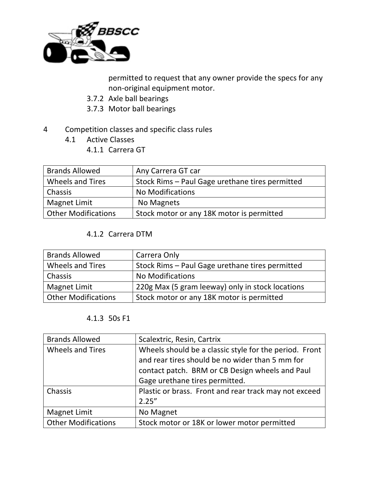

permitted to request that any owner provide the specs for any non-original equipment motor.

- 3.7.2 Axle ball bearings
- 3.7.3 Motor ball bearings
- 4 Competition classes and specific class rules
	- 4.1 Active Classes
		- 4.1.1 Carrera GT

| <b>Brands Allowed</b>      | Any Carrera GT car                              |
|----------------------------|-------------------------------------------------|
| Wheels and Tires           | Stock Rims - Paul Gage urethane tires permitted |
| Chassis                    | <b>No Modifications</b>                         |
| Magnet Limit               | No Magnets                                      |
| <b>Other Modifications</b> | Stock motor or any 18K motor is permitted       |

#### 4.1.2 Carrera DTM

| <b>Brands Allowed</b>      | Carrera Only                                     |
|----------------------------|--------------------------------------------------|
| <b>Wheels and Tires</b>    | Stock Rims - Paul Gage urethane tires permitted  |
| Chassis                    | <b>No Modifications</b>                          |
| Magnet Limit               | 220g Max (5 gram leeway) only in stock locations |
| <b>Other Modifications</b> | Stock motor or any 18K motor is permitted        |

#### 4.1.3 50s F1

| <b>Brands Allowed</b>      | Scalextric, Resin, Cartrix                             |
|----------------------------|--------------------------------------------------------|
| <b>Wheels and Tires</b>    | Wheels should be a classic style for the period. Front |
|                            | and rear tires should be no wider than 5 mm for        |
|                            | contact patch. BRM or CB Design wheels and Paul        |
|                            | Gage urethane tires permitted.                         |
| Chassis                    | Plastic or brass. Front and rear track may not exceed  |
|                            | 2.25''                                                 |
| Magnet Limit               | No Magnet                                              |
| <b>Other Modifications</b> | Stock motor or 18K or lower motor permitted            |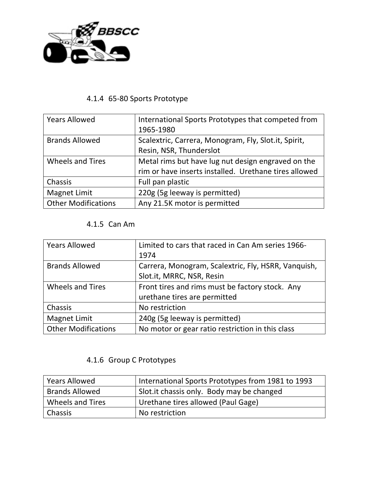

# 4.1.4 65-80 Sports Prototype

| <b>Years Allowed</b>       | International Sports Prototypes that competed from    |
|----------------------------|-------------------------------------------------------|
|                            | 1965-1980                                             |
| <b>Brands Allowed</b>      | Scalextric, Carrera, Monogram, Fly, Slot.it, Spirit,  |
|                            | Resin, NSR, Thunderslot                               |
| <b>Wheels and Tires</b>    | Metal rims but have lug nut design engraved on the    |
|                            | rim or have inserts installed. Urethane tires allowed |
| Chassis                    | Full pan plastic                                      |
| <b>Magnet Limit</b>        | 220g (5g leeway is permitted)                         |
| <b>Other Modifications</b> | Any 21.5K motor is permitted                          |

#### 4.1.5 Can Am

| <b>Years Allowed</b>       | Limited to cars that raced in Can Am series 1966-<br>1974                        |
|----------------------------|----------------------------------------------------------------------------------|
| <b>Brands Allowed</b>      | Carrera, Monogram, Scalextric, Fly, HSRR, Vanquish,<br>Slot.it, MRRC, NSR, Resin |
| <b>Wheels and Tires</b>    | Front tires and rims must be factory stock. Any<br>urethane tires are permitted  |
| Chassis                    | No restriction                                                                   |
| Magnet Limit               | 240g (5g leeway is permitted)                                                    |
| <b>Other Modifications</b> | No motor or gear ratio restriction in this class                                 |

## 4.1.6 Group C Prototypes

| <b>Years Allowed</b>  | International Sports Prototypes from 1981 to 1993 |
|-----------------------|---------------------------------------------------|
| <b>Brands Allowed</b> | Slot. it chassis only. Body may be changed        |
| Wheels and Tires      | Urethane tires allowed (Paul Gage)                |
| <b>Chassis</b>        | No restriction                                    |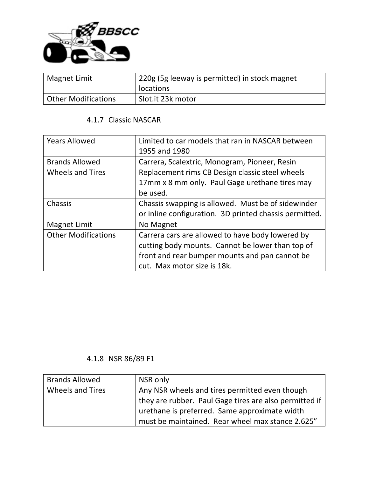

| <b>Magnet Limit</b> | 220g (5g leeway is permitted) in stock magnet<br>locations |
|---------------------|------------------------------------------------------------|
| Other Modifications | Slot.it 23k motor                                          |

#### 4.1.7 Classic NASCAR

| <b>Years Allowed</b>       | Limited to car models that ran in NASCAR between<br>1955 and 1980 |
|----------------------------|-------------------------------------------------------------------|
| <b>Brands Allowed</b>      | Carrera, Scalextric, Monogram, Pioneer, Resin                     |
| <b>Wheels and Tires</b>    | Replacement rims CB Design classic steel wheels                   |
|                            | 17mm x 8 mm only. Paul Gage urethane tires may                    |
|                            | be used.                                                          |
| Chassis                    | Chassis swapping is allowed. Must be of sidewinder                |
|                            | or inline configuration. 3D printed chassis permitted.            |
| <b>Magnet Limit</b>        | No Magnet                                                         |
| <b>Other Modifications</b> | Carrera cars are allowed to have body lowered by                  |
|                            | cutting body mounts. Cannot be lower than top of                  |
|                            | front and rear bumper mounts and pan cannot be                    |
|                            | cut. Max motor size is 18k.                                       |

## 4.1.8 NSR 86/89 F1

| <b>Brands Allowed</b>   | NSR only                                                    |
|-------------------------|-------------------------------------------------------------|
| <b>Wheels and Tires</b> | Any NSR wheels and tires permitted even though              |
|                         | I they are rubber. Paul Gage tires are also permitted if    |
|                         | $\frac{1}{2}$ urethane is preferred. Same approximate width |
|                         | must be maintained. Rear wheel max stance 2.625"            |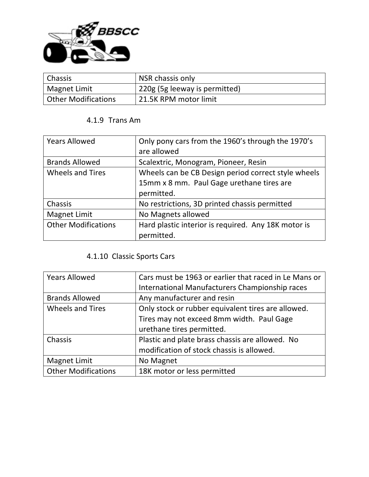

| <b>Chassis</b>             | NSR chassis only              |
|----------------------------|-------------------------------|
| Magnet Limit               | 220g (5g leeway is permitted) |
| <b>Other Modifications</b> | 21.5K RPM motor limit         |

#### 4.1.9 Trans Am

| <b>Years Allowed</b>       | Only pony cars from the 1960's through the 1970's   |
|----------------------------|-----------------------------------------------------|
|                            | are allowed                                         |
| <b>Brands Allowed</b>      | Scalextric, Monogram, Pioneer, Resin                |
| <b>Wheels and Tires</b>    | Wheels can be CB Design period correct style wheels |
|                            | 15mm x 8 mm. Paul Gage urethane tires are           |
|                            | permitted.                                          |
| Chassis                    | No restrictions, 3D printed chassis permitted       |
| <b>Magnet Limit</b>        | No Magnets allowed                                  |
| <b>Other Modifications</b> | Hard plastic interior is required. Any 18K motor is |
|                            | permitted.                                          |

# 4.1.10 Classic Sports Cars

| <b>Years Allowed</b>       | Cars must be 1963 or earlier that raced in Le Mans or |
|----------------------------|-------------------------------------------------------|
|                            | International Manufacturers Championship races        |
| <b>Brands Allowed</b>      | Any manufacturer and resin                            |
| <b>Wheels and Tires</b>    | Only stock or rubber equivalent tires are allowed.    |
|                            | Tires may not exceed 8mm width. Paul Gage             |
|                            | urethane tires permitted.                             |
| Chassis                    | Plastic and plate brass chassis are allowed. No       |
|                            | modification of stock chassis is allowed.             |
| Magnet Limit               | No Magnet                                             |
| <b>Other Modifications</b> | 18K motor or less permitted                           |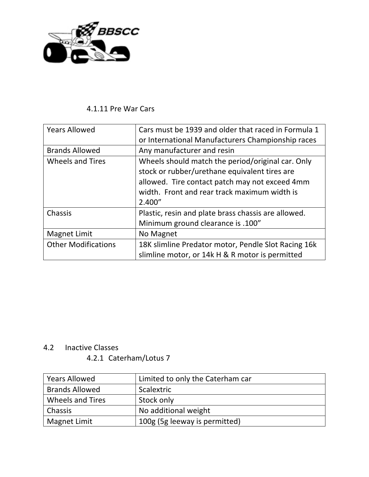

#### 4.1.11 Pre War Cars

| <b>Years Allowed</b>       | Cars must be 1939 and older that raced in Formula 1 |
|----------------------------|-----------------------------------------------------|
|                            | or International Manufacturers Championship races   |
| <b>Brands Allowed</b>      | Any manufacturer and resin                          |
| <b>Wheels and Tires</b>    | Wheels should match the period/original car. Only   |
|                            | stock or rubber/urethane equivalent tires are       |
|                            | allowed. Tire contact patch may not exceed 4mm      |
|                            | width. Front and rear track maximum width is        |
|                            | 2.400''                                             |
| Chassis                    | Plastic, resin and plate brass chassis are allowed. |
|                            | Minimum ground clearance is .100"                   |
| Magnet Limit               | No Magnet                                           |
| <b>Other Modifications</b> | 18K slimline Predator motor, Pendle Slot Racing 16k |
|                            | slimline motor, or 14k H & R motor is permitted     |

#### 4.2 Inactive Classes

#### 4.2.1 Caterham/Lotus 7

| <b>Years Allowed</b>    | Limited to only the Caterham car |
|-------------------------|----------------------------------|
| <b>Brands Allowed</b>   | Scalextric                       |
| <b>Wheels and Tires</b> | Stock only                       |
| Chassis                 | No additional weight             |
| Magnet Limit            | 100g (5g leeway is permitted)    |